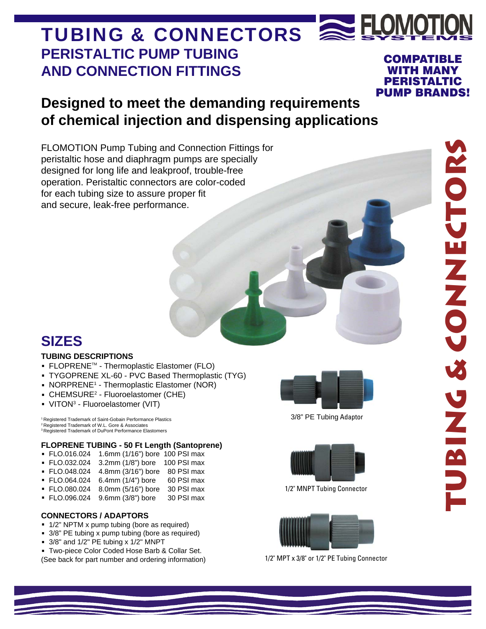## **PERISTALTIC PUMP TUBING AND CONNECTION FITTINGS** TUBING & CONNECTORS A FLOMO COMPATIBLE WITH MANY PERISTALTIC

## **Designed to meet the demanding requirements** of chemical injection and dispensing applications PUMP BRANDS!

FLOMOTION Pump Tubing and Connection Fittings for peristaltic hose and diaphragm pumps are specially designed for long life and leakproof, trouble-free operation. Peristaltic connectors are color-coded for each tubing size to assure proper fit and secure, leak-free performance.

# **SIZES**

#### **TUBING DESCRIPTIONS**

- **·** FLOPRENETM Thermoplastic Elastomer (FLO)
- **·** TYGOPRENE XL-60 PVC Based Thermoplastic (TYG)
- **NORPRENE<sup>1</sup>** Thermoplastic Elastomer (NOR)
- **· CHEMSURE<sup>2</sup>** Fluoroelastomer (CHE)
- **·** VITON3 Fluoroelastomer (VIT)

Registered Trademark of Saint-Gobain Performance Plastics 2 Registered Trademark of W.L. Gore & Associates <sup>3</sup> Registered Trademark of DuPont Performance Elastomers

#### **FLOPRENE TUBING - 50 Ft Length (Santoprene)**

- **·** FLO.016.024 1.6mm (1/16") bore 100 PSI max
- **·** FLO.032.024 3.2mm (1/8") bore 100 PSI max
- **·** FLO.048.024 4.8mm (3/16") bore 80 PSI max
- **FLO.064.024** 6.4mm (1/4") bore
- **·** FLO.080.024 8.0mm (5/16") bore 30 PSI max
- **· FLO.096.024** 9.6mm (3/8") bore

#### **CONNECTORS / ADAPTORS**

- **·** 1/2" NPTM x pump tubing (bore as required)
- **·** 3/8" PE tubing x pump tubing (bore as required)
- **·** 3/8" and 1/2" PE tubing x 1/2" MNPT

**·** Two-piece Color Coded Hose Barb & Collar Set. (See back for part number and ordering information)



3/8" PE Tubing Adaptor



1/2" MNPT Tubing Connector



1/2" MPT x 3/8" or 1/2" PE Tubing Connector